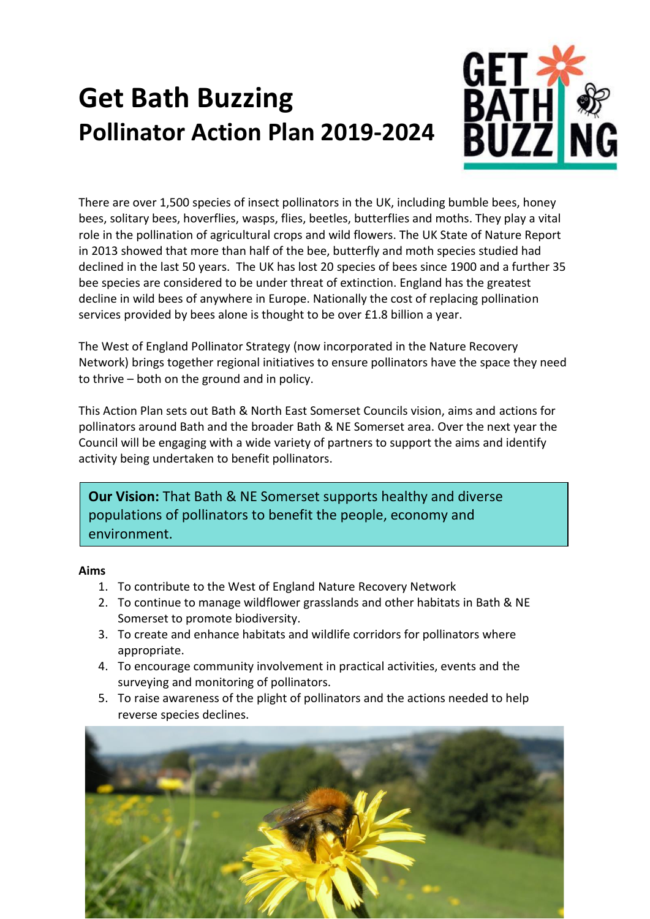# **Get Bath Buzzing Pollinator Action Plan 2019-2024**



There are over 1,500 species of insect pollinators in the UK, including bumble bees, honey bees, solitary bees, hoverflies, wasps, flies, beetles, butterflies and moths. They play a vital role in the pollination of agricultural crops and wild flowers. The UK State of Nature Report in 2013 showed that more than half of the bee, butterfly and moth species studied had declined in the last 50 years. The UK has lost 20 species of bees since 1900 and a further 35 bee species are considered to be under threat of extinction. England has the greatest decline in wild bees of anywhere in Europe. Nationally the cost of replacing pollination services provided by bees alone is thought to be over £1.8 billion a year.

The West of England Pollinator Strategy (now incorporated in the Nature Recovery Network) brings together regional initiatives to ensure pollinators have the space they need to thrive – both on the ground and in policy.

This Action Plan sets out Bath & North East Somerset Councils vision, aims and actions for pollinators around Bath and the broader Bath & NE Somerset area. Over the next year the Council will be engaging with a wide variety of partners to support the aims and identify activity being undertaken to benefit pollinators.

**Our Vision:** That Bath & NE Somerset supports healthy and diverse populations of pollinators to benefit the people, economy and environment.

#### **Aims**

- 1. To contribute to the West of England Nature Recovery Network
- 2. To continue to manage wildflower grasslands and other habitats in Bath & NE Somerset to promote biodiversity.
- 3. To create and enhance habitats and wildlife corridors for pollinators where appropriate.
- 4. To encourage community involvement in practical activities, events and the surveying and monitoring of pollinators.
- 5. To raise awareness of the plight of pollinators and the actions needed to help reverse species declines.